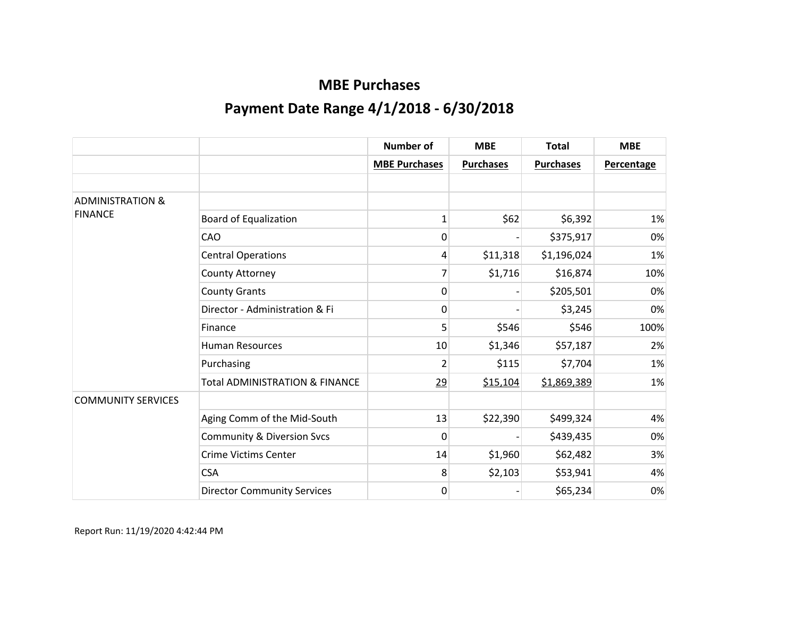|                             |                                           | <b>Number of</b>     | <b>MBE</b>       | <b>Total</b>     | <b>MBE</b>        |
|-----------------------------|-------------------------------------------|----------------------|------------------|------------------|-------------------|
|                             |                                           | <b>MBE Purchases</b> | <b>Purchases</b> | <b>Purchases</b> | <b>Percentage</b> |
|                             |                                           |                      |                  |                  |                   |
| <b>ADMINISTRATION &amp;</b> |                                           |                      |                  |                  |                   |
| <b>FINANCE</b>              | <b>Board of Equalization</b>              | 1                    | \$62             | \$6,392          | 1%                |
|                             | CAO                                       | 0                    |                  | \$375,917        | 0%                |
|                             | <b>Central Operations</b>                 | 4                    | \$11,318         | \$1,196,024      | 1%                |
|                             | County Attorney                           | 7                    | \$1,716          | \$16,874         | 10%               |
|                             | <b>County Grants</b>                      | 0                    |                  | \$205,501        | 0%                |
|                             | Director - Administration & Fi            | 0                    |                  | \$3,245          | 0%                |
|                             | Finance                                   | 5                    | \$546            | \$546            | 100%              |
|                             | <b>Human Resources</b>                    | 10                   | \$1,346          | \$57,187         | 2%                |
|                             | Purchasing                                | 2                    | \$115            | \$7,704          | 1%                |
|                             | <b>Total ADMINISTRATION &amp; FINANCE</b> | 29                   | \$15,104         | \$1,869,389      | 1%                |
| <b>COMMUNITY SERVICES</b>   |                                           |                      |                  |                  |                   |
|                             | Aging Comm of the Mid-South               | 13                   | \$22,390         | \$499,324        | 4%                |
|                             | <b>Community &amp; Diversion Svcs</b>     | 0                    |                  | \$439,435        | 0%                |
|                             | <b>Crime Victims Center</b>               | 14                   | \$1,960          | \$62,482         | 3%                |
|                             | <b>CSA</b>                                | 8                    | \$2,103          | \$53,941         | 4%                |
|                             | <b>Director Community Services</b>        | 0                    |                  | \$65,234         | 0%                |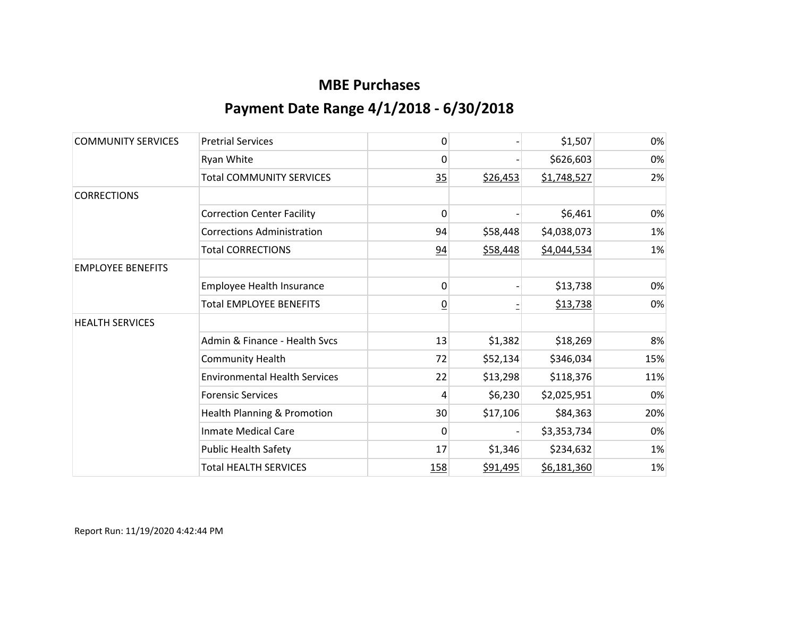| <b>COMMUNITY SERVICES</b> | <b>Pretrial Services</b>             | 0              |          | \$1,507     | 0%  |
|---------------------------|--------------------------------------|----------------|----------|-------------|-----|
|                           | Ryan White                           | 0              |          | \$626,603   | 0%  |
|                           | <b>Total COMMUNITY SERVICES</b>      | 35             | \$26,453 | \$1,748,527 | 2%  |
| <b>CORRECTIONS</b>        |                                      |                |          |             |     |
|                           | <b>Correction Center Facility</b>    | 0              |          | \$6,461     | 0%  |
|                           | <b>Corrections Administration</b>    | 94             | \$58,448 | \$4,038,073 | 1%  |
|                           | <b>Total CORRECTIONS</b>             | 94             | \$58,448 | \$4,044,534 | 1%  |
| <b>EMPLOYEE BENEFITS</b>  |                                      |                |          |             |     |
|                           | Employee Health Insurance            | 0              |          | \$13,738    | 0%  |
|                           | <b>Total EMPLOYEE BENEFITS</b>       | $\overline{0}$ |          | \$13,738    | 0%  |
| <b>HEALTH SERVICES</b>    |                                      |                |          |             |     |
|                           | Admin & Finance - Health Svcs        | 13             | \$1,382  | \$18,269    | 8%  |
|                           | <b>Community Health</b>              | 72             | \$52,134 | \$346,034   | 15% |
|                           | <b>Environmental Health Services</b> | 22             | \$13,298 | \$118,376   | 11% |
|                           | <b>Forensic Services</b>             | 4              | \$6,230  | \$2,025,951 | 0%  |
|                           | Health Planning & Promotion          | 30             | \$17,106 | \$84,363    | 20% |
|                           | <b>Inmate Medical Care</b>           | 0              |          | \$3,353,734 | 0%  |
|                           | <b>Public Health Safety</b>          | 17             | \$1,346  | \$234,632   | 1%  |
|                           | <b>Total HEALTH SERVICES</b>         | <u>158</u>     | \$91,495 | \$6,181,360 | 1%  |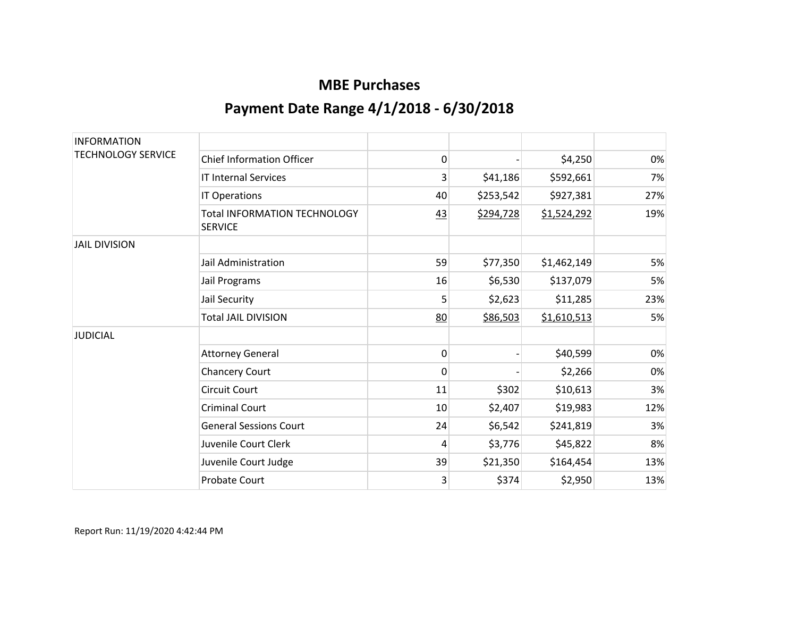| <b>INFORMATION</b><br><b>TECHNOLOGY SERVICE</b> |                                                       |    |           |             |     |
|-------------------------------------------------|-------------------------------------------------------|----|-----------|-------------|-----|
|                                                 | <b>Chief Information Officer</b>                      | 0  |           | \$4,250     | 0%  |
|                                                 | <b>IT Internal Services</b>                           | 3  | \$41,186  | \$592,661   | 7%  |
|                                                 | IT Operations                                         | 40 | \$253,542 | \$927,381   | 27% |
|                                                 | <b>Total INFORMATION TECHNOLOGY</b><br><b>SERVICE</b> | 43 | \$294,728 | \$1,524,292 | 19% |
| <b>JAIL DIVISION</b>                            |                                                       |    |           |             |     |
|                                                 | Jail Administration                                   | 59 | \$77,350  | \$1,462,149 | 5%  |
|                                                 | Jail Programs                                         | 16 | \$6,530   | \$137,079   | 5%  |
|                                                 | Jail Security                                         | 5  | \$2,623   | \$11,285    | 23% |
|                                                 | <b>Total JAIL DIVISION</b>                            | 80 | \$86,503  | \$1,610,513 | 5%  |
| <b>JUDICIAL</b>                                 |                                                       |    |           |             |     |
|                                                 | <b>Attorney General</b>                               | 0  |           | \$40,599    | 0%  |
|                                                 | <b>Chancery Court</b>                                 | 0  |           | \$2,266     | 0%  |
|                                                 | <b>Circuit Court</b>                                  | 11 | \$302     | \$10,613    | 3%  |
|                                                 | <b>Criminal Court</b>                                 | 10 | \$2,407   | \$19,983    | 12% |
|                                                 | <b>General Sessions Court</b>                         | 24 | \$6,542   | \$241,819   | 3%  |
|                                                 | Juvenile Court Clerk                                  | 4  | \$3,776   | \$45,822    | 8%  |
|                                                 | Juvenile Court Judge                                  | 39 | \$21,350  | \$164,454   | 13% |
|                                                 | <b>Probate Court</b>                                  | 3  | \$374     | \$2,950     | 13% |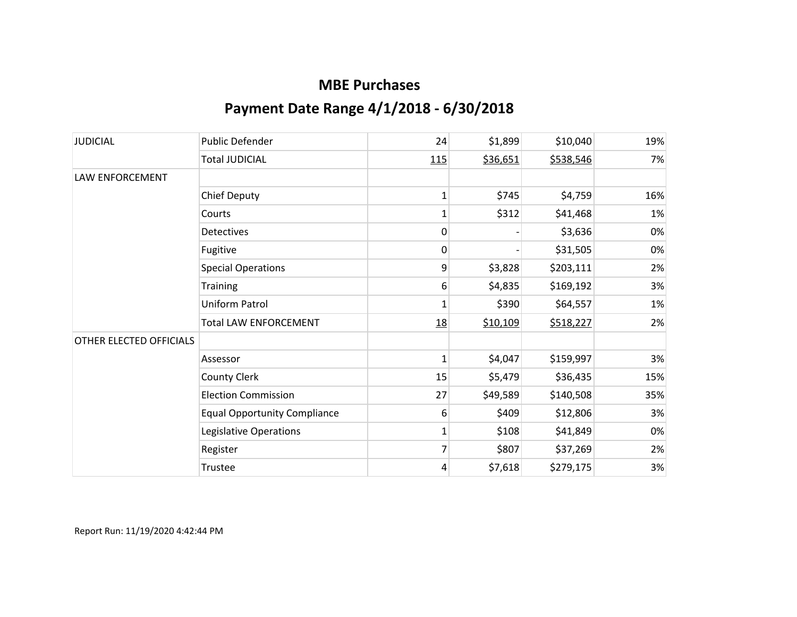| <b>JUDICIAL</b>         | <b>Public Defender</b>              | 24           | \$1,899  | \$10,040  | 19% |
|-------------------------|-------------------------------------|--------------|----------|-----------|-----|
|                         | <b>Total JUDICIAL</b>               | 115          | \$36,651 | \$538,546 | 7%  |
| LAW ENFORCEMENT         |                                     |              |          |           |     |
|                         | <b>Chief Deputy</b>                 | $\mathbf{1}$ | \$745    | \$4,759   | 16% |
|                         | Courts                              | 1            | \$312    | \$41,468  | 1%  |
|                         | <b>Detectives</b>                   | 0            |          | \$3,636   | 0%  |
|                         | Fugitive                            | 0            |          | \$31,505  | 0%  |
|                         | <b>Special Operations</b>           | 9            | \$3,828  | \$203,111 | 2%  |
|                         | Training                            | 6            | \$4,835  | \$169,192 | 3%  |
|                         | Uniform Patrol                      | 1            | \$390    | \$64,557  | 1%  |
|                         | <b>Total LAW ENFORCEMENT</b>        | 18           | \$10,109 | \$518,227 | 2%  |
| OTHER ELECTED OFFICIALS |                                     |              |          |           |     |
|                         | Assessor                            | 1            | \$4,047  | \$159,997 | 3%  |
|                         | <b>County Clerk</b>                 | 15           | \$5,479  | \$36,435  | 15% |
|                         | <b>Election Commission</b>          | 27           | \$49,589 | \$140,508 | 35% |
|                         | <b>Equal Opportunity Compliance</b> | 6            | \$409    | \$12,806  | 3%  |
|                         | Legislative Operations              | 1            | \$108    | \$41,849  | 0%  |
|                         | Register                            | 7            | \$807    | \$37,269  | 2%  |
|                         | Trustee                             | 4            | \$7,618  | \$279,175 | 3%  |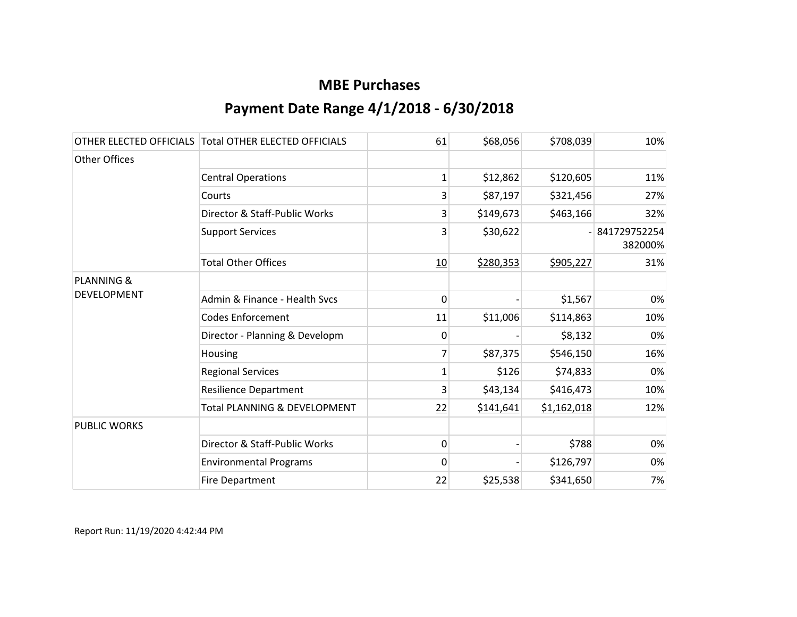|                       | OTHER ELECTED OFFICIALS Total OTHER ELECTED OFFICIALS | 61           | \$68,056  | \$708,039   | 10%                     |
|-----------------------|-------------------------------------------------------|--------------|-----------|-------------|-------------------------|
| Other Offices         |                                                       |              |           |             |                         |
|                       | <b>Central Operations</b>                             | 1            | \$12,862  | \$120,605   | 11%                     |
|                       | Courts                                                | 3            | \$87,197  | \$321,456   | 27%                     |
|                       | Director & Staff-Public Works                         | 3            | \$149,673 | \$463,166   | 32%                     |
|                       | <b>Support Services</b>                               | 3            | \$30,622  |             | 841729752254<br>382000% |
|                       | <b>Total Other Offices</b>                            | 10           | \$280,353 | \$905,227   | 31%                     |
| <b>PLANNING &amp;</b> |                                                       |              |           |             |                         |
| <b>DEVELOPMENT</b>    | Admin & Finance - Health Svcs                         | 0            |           | \$1,567     | 0%                      |
|                       | <b>Codes Enforcement</b>                              | 11           | \$11,006  | \$114,863   | 10%                     |
|                       | Director - Planning & Developm                        | 0            |           | \$8,132     | 0%                      |
|                       | Housing                                               |              | \$87,375  | \$546,150   | 16%                     |
|                       | <b>Regional Services</b>                              | 1            | \$126     | \$74,833    | 0%                      |
|                       | <b>Resilience Department</b>                          | 3            | \$43,134  | \$416,473   | 10%                     |
|                       | <b>Total PLANNING &amp; DEVELOPMENT</b>               | 22           | \$141,641 | \$1,162,018 | 12%                     |
| <b>PUBLIC WORKS</b>   |                                                       |              |           |             |                         |
|                       | Director & Staff-Public Works                         | $\mathbf{0}$ |           | \$788       | 0%                      |
|                       | <b>Environmental Programs</b>                         | 0            |           | \$126,797   | 0%                      |
|                       | <b>Fire Department</b>                                | 22           | \$25,538  | \$341,650   | 7%                      |